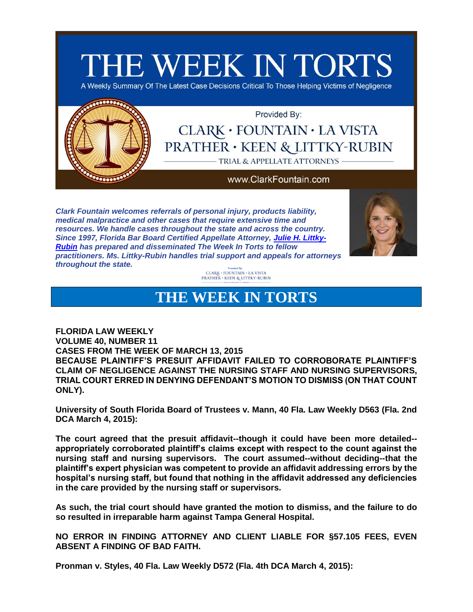

*Clark Fountain welcomes referrals of personal injury, products liability, medical malpractice and other cases that require extensive time and resources. We handle cases throughout the state and across the country. Since 1997, Florida Bar Board Certified Appellate Attorney, [Julie H. Littky-](http://app.bronto.com/public/?q=ulink&fn=Link&ssid=28738&id=atn8onedz0agnkxfdiaytau9k1rru&id2=3s4ntuxghs2wse5lqz175gyoao6yn&subscriber_id=1eu1zr3jzl364qpqr9ovmr0lfnh4k&delivery_id=atcnrsuompkhejscjmfouoggcseebpa&tid=3.cEI.CUNRVw.C2PE.AWdaIQ..AelcJg.b..l.B7sE.b.VEACsQ.VEA1UQ.E4Dfow&td=)[Rubin](http://app.bronto.com/public/?q=ulink&fn=Link&ssid=28738&id=atn8onedz0agnkxfdiaytau9k1rru&id2=3s4ntuxghs2wse5lqz175gyoao6yn&subscriber_id=1eu1zr3jzl364qpqr9ovmr0lfnh4k&delivery_id=atcnrsuompkhejscjmfouoggcseebpa&tid=3.cEI.CUNRVw.C2PE.AWdaIQ..AelcJg.b..l.B7sE.b.VEACsQ.VEA1UQ.E4Dfow&td=) has prepared and disseminated The Week In Torts to fellow practitioners. Ms. Littky-Rubin handles trial support and appeals for attorneys throughout the state.*



 $\begin{array}{c} \text{Provoed 99:} \\ \text{CLARK} \cdot \text{FOUNTAIN} \cdot \text{LA VISTA} \\ \text{PRATHER} \cdot \text{KEEN} \ & \text{LITTKY-RUBIN} \end{array}$ 

## **THE WEEK IN TORTS**

**FLORIDA LAW WEEKLY VOLUME 40, NUMBER 11 CASES FROM THE WEEK OF MARCH 13, 2015 BECAUSE PLAINTIFF'S PRESUIT AFFIDAVIT FAILED TO CORROBORATE PLAINTIFF'S CLAIM OF NEGLIGENCE AGAINST THE NURSING STAFF AND NURSING SUPERVISORS, TRIAL COURT ERRED IN DENYING DEFENDANT'S MOTION TO DISMISS (ON THAT COUNT ONLY).**

**University of South Florida Board of Trustees v. Mann, 40 Fla. Law Weekly D563 (Fla. 2nd DCA March 4, 2015):**

**The court agreed that the presuit affidavit--though it could have been more detailed- appropriately corroborated plaintiff's claims except with respect to the count against the nursing staff and nursing supervisors. The court assumed--without deciding--that the plaintiff's expert physician was competent to provide an affidavit addressing errors by the hospital's nursing staff, but found that nothing in the affidavit addressed any deficiencies in the care provided by the nursing staff or supervisors.** 

**As such, the trial court should have granted the motion to dismiss, and the failure to do so resulted in irreparable harm against Tampa General Hospital.**

**NO ERROR IN FINDING ATTORNEY AND CLIENT LIABLE FOR §57.105 FEES, EVEN ABSENT A FINDING OF BAD FAITH.**

**Pronman v. Styles, 40 Fla. Law Weekly D572 (Fla. 4th DCA March 4, 2015):**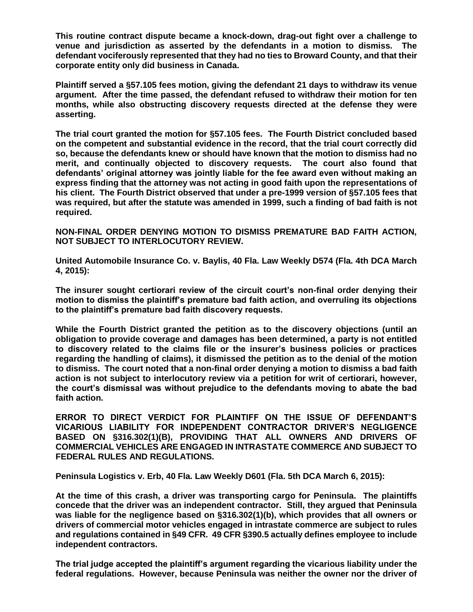**This routine contract dispute became a knock-down, drag-out fight over a challenge to venue and jurisdiction as asserted by the defendants in a motion to dismiss. The defendant vociferously represented that they had no ties to Broward County, and that their corporate entity only did business in Canada.**

**Plaintiff served a §57.105 fees motion, giving the defendant 21 days to withdraw its venue argument. After the time passed, the defendant refused to withdraw their motion for ten months, while also obstructing discovery requests directed at the defense they were asserting.**

**The trial court granted the motion for §57.105 fees. The Fourth District concluded based on the competent and substantial evidence in the record, that the trial court correctly did so, because the defendants knew or should have known that the motion to dismiss had no merit, and continually objected to discovery requests. The court also found that defendants' original attorney was jointly liable for the fee award even without making an express finding that the attorney was not acting in good faith upon the representations of his client. The Fourth District observed that under a pre-1999 version of §57.105 fees that was required, but after the statute was amended in 1999, such a finding of bad faith is not required.**

**NON-FINAL ORDER DENYING MOTION TO DISMISS PREMATURE BAD FAITH ACTION, NOT SUBJECT TO INTERLOCUTORY REVIEW.**

**United Automobile Insurance Co. v. Baylis, 40 Fla. Law Weekly D574 (Fla. 4th DCA March 4, 2015):**

**The insurer sought certiorari review of the circuit court's non-final order denying their motion to dismiss the plaintiff's premature bad faith action, and overruling its objections to the plaintiff's premature bad faith discovery requests.**

**While the Fourth District granted the petition as to the discovery objections (until an obligation to provide coverage and damages has been determined, a party is not entitled to discovery related to the claims file or the insurer's business policies or practices regarding the handling of claims), it dismissed the petition as to the denial of the motion to dismiss. The court noted that a non-final order denying a motion to dismiss a bad faith action is not subject to interlocutory review via a petition for writ of certiorari, however, the court's dismissal was without prejudice to the defendants moving to abate the bad faith action.**

**ERROR TO DIRECT VERDICT FOR PLAINTIFF ON THE ISSUE OF DEFENDANT'S VICARIOUS LIABILITY FOR INDEPENDENT CONTRACTOR DRIVER'S NEGLIGENCE BASED ON §316.302(1)(B), PROVIDING THAT ALL OWNERS AND DRIVERS OF COMMERCIAL VEHICLES ARE ENGAGED IN INTRASTATE COMMERCE AND SUBJECT TO FEDERAL RULES AND REGULATIONS.**

**Peninsula Logistics v. Erb, 40 Fla. Law Weekly D601 (Fla. 5th DCA March 6, 2015):**

**At the time of this crash, a driver was transporting cargo for Peninsula. The plaintiffs concede that the driver was an independent contractor. Still, they argued that Peninsula was liable for the negligence based on §316.302(1)(b), which provides that all owners or drivers of commercial motor vehicles engaged in intrastate commerce are subject to rules and regulations contained in §49 CFR. 49 CFR §390.5 actually defines employee to include independent contractors.** 

**The trial judge accepted the plaintiff's argument regarding the vicarious liability under the federal regulations. However, because Peninsula was neither the owner nor the driver of**